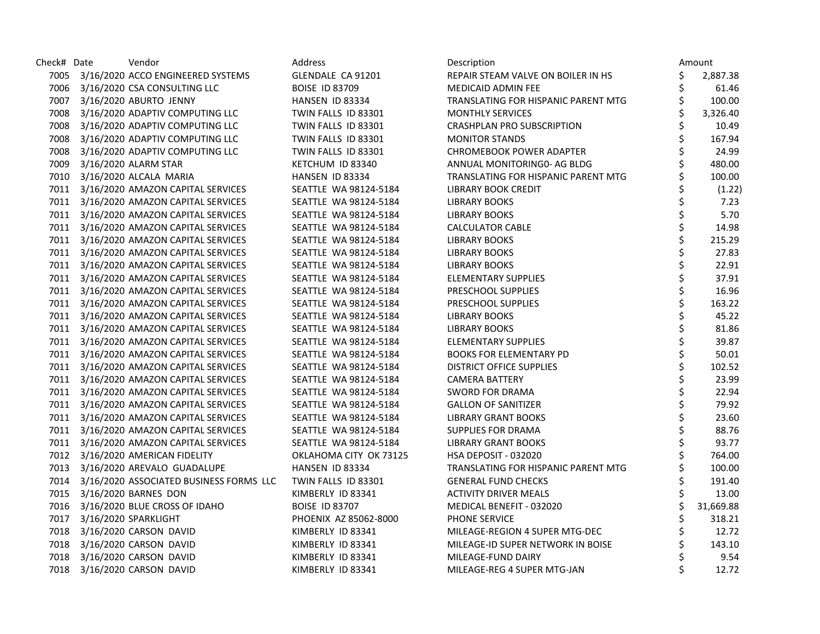| Check# Date | Vendor                                       | Address                | Description                         |    | Amount    |
|-------------|----------------------------------------------|------------------------|-------------------------------------|----|-----------|
|             | 7005 3/16/2020 ACCO ENGINEERED SYSTEMS       | GLENDALE CA 91201      | REPAIR STEAM VALVE ON BOILER IN HS  | \$ | 2,887.38  |
|             | 7006 3/16/2020 CSA CONSULTING LLC            | <b>BOISE ID 83709</b>  | <b>MEDICAID ADMIN FEE</b>           | \$ | 61.46     |
|             | 7007 3/16/2020 ABURTO JENNY                  | HANSEN ID 83334        | TRANSLATING FOR HISPANIC PARENT MTG | \$ | 100.00    |
|             | 7008 3/16/2020 ADAPTIV COMPUTING LLC         | TWIN FALLS ID 83301    | <b>MONTHLY SERVICES</b>             | \$ | 3,326.40  |
| 7008        | 3/16/2020 ADAPTIV COMPUTING LLC              | TWIN FALLS ID 83301    | <b>CRASHPLAN PRO SUBSCRIPTION</b>   |    | 10.49     |
| 7008        | 3/16/2020 ADAPTIV COMPUTING LLC              | TWIN FALLS ID 83301    | <b>MONITOR STANDS</b>               |    | 167.94    |
|             | 7008 3/16/2020 ADAPTIV COMPUTING LLC         | TWIN FALLS ID 83301    | <b>CHROMEBOOK POWER ADAPTER</b>     |    | 24.99     |
| 7009        | 3/16/2020 ALARM STAR                         | KETCHUM ID 83340       | ANNUAL MONITORING0- AG BLDG         |    | 480.00    |
|             | 7010 3/16/2020 ALCALA MARIA                  | HANSEN ID 83334        | TRANSLATING FOR HISPANIC PARENT MTG |    | 100.00    |
|             | 7011 3/16/2020 AMAZON CAPITAL SERVICES       | SEATTLE WA 98124-5184  | <b>LIBRARY BOOK CREDIT</b>          |    | (1.22)    |
|             | 7011 3/16/2020 AMAZON CAPITAL SERVICES       | SEATTLE WA 98124-5184  | <b>LIBRARY BOOKS</b>                |    | 7.23      |
|             | 7011 3/16/2020 AMAZON CAPITAL SERVICES       | SEATTLE WA 98124-5184  | <b>LIBRARY BOOKS</b>                |    | 5.70      |
|             | 7011 3/16/2020 AMAZON CAPITAL SERVICES       | SEATTLE WA 98124-5184  | <b>CALCULATOR CABLE</b>             |    | 14.98     |
|             | 7011 3/16/2020 AMAZON CAPITAL SERVICES       | SEATTLE WA 98124-5184  | <b>LIBRARY BOOKS</b>                | Ś  | 215.29    |
|             | 7011 3/16/2020 AMAZON CAPITAL SERVICES       | SEATTLE WA 98124-5184  | LIBRARY BOOKS                       | \$ | 27.83     |
|             | 7011 3/16/2020 AMAZON CAPITAL SERVICES       | SEATTLE WA 98124-5184  | <b>LIBRARY BOOKS</b>                | \$ | 22.91     |
|             | 7011 3/16/2020 AMAZON CAPITAL SERVICES       | SEATTLE WA 98124-5184  | ELEMENTARY SUPPLIES                 |    | 37.91     |
|             | 7011 3/16/2020 AMAZON CAPITAL SERVICES       | SEATTLE WA 98124-5184  | PRESCHOOL SUPPLIES                  | \$ | 16.96     |
|             | 7011 3/16/2020 AMAZON CAPITAL SERVICES       | SEATTLE WA 98124-5184  | PRESCHOOL SUPPLIES                  | \$ | 163.22    |
|             | 7011 3/16/2020 AMAZON CAPITAL SERVICES       | SEATTLE WA 98124-5184  | <b>LIBRARY BOOKS</b>                | \$ | 45.22     |
|             | 7011 3/16/2020 AMAZON CAPITAL SERVICES       | SEATTLE WA 98124-5184  | <b>LIBRARY BOOKS</b>                | \$ | 81.86     |
|             | 7011 3/16/2020 AMAZON CAPITAL SERVICES       | SEATTLE WA 98124-5184  | ELEMENTARY SUPPLIES                 | \$ | 39.87     |
|             | 7011 3/16/2020 AMAZON CAPITAL SERVICES       | SEATTLE WA 98124-5184  | <b>BOOKS FOR ELEMENTARY PD</b>      |    | 50.01     |
|             | 7011 3/16/2020 AMAZON CAPITAL SERVICES       | SEATTLE WA 98124-5184  | <b>DISTRICT OFFICE SUPPLIES</b>     |    | 102.52    |
|             | 7011 3/16/2020 AMAZON CAPITAL SERVICES       | SEATTLE WA 98124-5184  | <b>CAMERA BATTERY</b>               |    | 23.99     |
|             | 7011 3/16/2020 AMAZON CAPITAL SERVICES       | SEATTLE WA 98124-5184  | <b>SWORD FOR DRAMA</b>              | \$ | 22.94     |
|             | 7011 3/16/2020 AMAZON CAPITAL SERVICES       | SEATTLE WA 98124-5184  | <b>GALLON OF SANITIZER</b>          | \$ | 79.92     |
|             | 7011 3/16/2020 AMAZON CAPITAL SERVICES       | SEATTLE WA 98124-5184  | <b>LIBRARY GRANT BOOKS</b>          |    | 23.60     |
|             | 7011 3/16/2020 AMAZON CAPITAL SERVICES       | SEATTLE WA 98124-5184  | <b>SUPPLIES FOR DRAMA</b>           |    | 88.76     |
|             | 7011 3/16/2020 AMAZON CAPITAL SERVICES       | SEATTLE WA 98124-5184  | <b>LIBRARY GRANT BOOKS</b>          |    | 93.77     |
|             | 7012 3/16/2020 AMERICAN FIDELITY             | OKLAHOMA CITY OK 73125 | <b>HSA DEPOSIT - 032020</b>         |    | 764.00    |
|             | 7013 3/16/2020 AREVALO GUADALUPE             | HANSEN ID 83334        | TRANSLATING FOR HISPANIC PARENT MTG |    | 100.00    |
|             | 7014 3/16/2020 ASSOCIATED BUSINESS FORMS LLC | TWIN FALLS ID 83301    | <b>GENERAL FUND CHECKS</b>          |    | 191.40    |
|             | 7015 3/16/2020 BARNES DON                    | KIMBERLY ID 83341      | <b>ACTIVITY DRIVER MEALS</b>        |    | 13.00     |
|             | 7016 3/16/2020 BLUE CROSS OF IDAHO           | <b>BOISE ID 83707</b>  | MEDICAL BENEFIT - 032020            |    | 31,669.88 |
| 7017        | 3/16/2020 SPARKLIGHT                         | PHOENIX AZ 85062-8000  | PHONE SERVICE                       |    | 318.21    |
|             | 7018 3/16/2020 CARSON DAVID                  | KIMBERLY ID 83341      | MILEAGE-REGION 4 SUPER MTG-DEC      |    | 12.72     |
|             | 7018 3/16/2020 CARSON DAVID                  | KIMBERLY ID 83341      | MILEAGE-ID SUPER NETWORK IN BOISE   |    | 143.10    |
|             | 7018 3/16/2020 CARSON DAVID                  | KIMBERLY ID 83341      | MILEAGE-FUND DAIRY                  |    | 9.54      |
|             | 7018 3/16/2020 CARSON DAVID                  | KIMBERLY ID 83341      | MILEAGE-REG 4 SUPER MTG-JAN         | Ś  | 12.72     |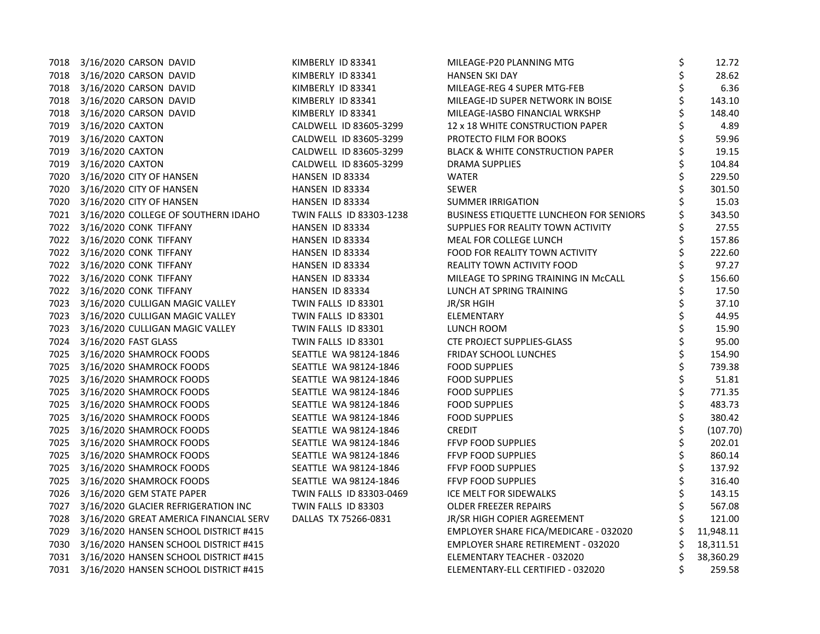|      | 7018 3/16/2020 CARSON DAVID              | KIMBERLY ID 83341        | MILEAGE-P20 PLANNING MTG                       | \$ | 12.72     |
|------|------------------------------------------|--------------------------|------------------------------------------------|----|-----------|
|      | 7018 3/16/2020 CARSON DAVID              | KIMBERLY ID 83341        | <b>HANSEN SKI DAY</b>                          | \$ | 28.62     |
| 7018 | 3/16/2020 CARSON DAVID                   | KIMBERLY ID 83341        | MILEAGE-REG 4 SUPER MTG-FEB                    | \$ | 6.36      |
| 7018 | 3/16/2020 CARSON DAVID                   | KIMBERLY ID 83341        | MILEAGE-ID SUPER NETWORK IN BOISE              | \$ | 143.10    |
| 7018 | 3/16/2020 CARSON DAVID                   | KIMBERLY ID 83341        | MILEAGE-IASBO FINANCIAL WRKSHP                 | \$ | 148.40    |
| 7019 | 3/16/2020 CAXTON                         | CALDWELL ID 83605-3299   | 12 x 18 WHITE CONSTRUCTION PAPER               |    | 4.89      |
| 7019 | 3/16/2020 CAXTON                         | CALDWELL ID 83605-3299   | PROTECTO FILM FOR BOOKS                        |    | 59.96     |
| 7019 | 3/16/2020 CAXTON                         | CALDWELL ID 83605-3299   | <b>BLACK &amp; WHITE CONSTRUCTION PAPER</b>    |    | 19.15     |
| 7019 | 3/16/2020 CAXTON                         | CALDWELL ID 83605-3299   | <b>DRAMA SUPPLIES</b>                          |    | 104.84    |
| 7020 | 3/16/2020 CITY OF HANSEN                 | HANSEN ID 83334          | WATER                                          | \$ | 229.50    |
| 7020 | 3/16/2020 CITY OF HANSEN                 | HANSEN ID 83334          | <b>SEWER</b>                                   | \$ | 301.50    |
| 7020 | 3/16/2020 CITY OF HANSEN                 | HANSEN ID 83334          | <b>SUMMER IRRIGATION</b>                       |    | 15.03     |
|      | 7021 3/16/2020 COLLEGE OF SOUTHERN IDAHO | TWIN FALLS ID 83303-1238 | <b>BUSINESS ETIQUETTE LUNCHEON FOR SENIORS</b> |    | 343.50    |
|      | 7022 3/16/2020 CONK TIFFANY              | HANSEN ID 83334          | SUPPLIES FOR REALITY TOWN ACTIVITY             | \$ | 27.55     |
|      | 7022 3/16/2020 CONK TIFFANY              | HANSEN ID 83334          | MEAL FOR COLLEGE LUNCH                         | \$ | 157.86    |
| 7022 | 3/16/2020 CONK TIFFANY                   | HANSEN ID 83334          | FOOD FOR REALITY TOWN ACTIVITY                 | \$ | 222.60    |
|      | 7022 3/16/2020 CONK TIFFANY              | HANSEN ID 83334          | REALITY TOWN ACTIVITY FOOD                     | \$ | 97.27     |
|      | 7022 3/16/2020 CONK TIFFANY              | HANSEN ID 83334          | MILEAGE TO SPRING TRAINING IN McCALL           |    | 156.60    |
|      | 7022 3/16/2020 CONK TIFFANY              | HANSEN ID 83334          | LUNCH AT SPRING TRAINING                       |    | 17.50     |
| 7023 | 3/16/2020 CULLIGAN MAGIC VALLEY          | TWIN FALLS ID 83301      | JR/SR HGIH                                     | \$ | 37.10     |
| 7023 | 3/16/2020 CULLIGAN MAGIC VALLEY          | TWIN FALLS ID 83301      | ELEMENTARY                                     | \$ | 44.95     |
| 7023 | 3/16/2020 CULLIGAN MAGIC VALLEY          | TWIN FALLS ID 83301      | LUNCH ROOM                                     | Ś  | 15.90     |
| 7024 | 3/16/2020 FAST GLASS                     | TWIN FALLS ID 83301      | <b>CTE PROJECT SUPPLIES-GLASS</b>              | \$ | 95.00     |
| 7025 | 3/16/2020 SHAMROCK FOODS                 | SEATTLE WA 98124-1846    | <b>FRIDAY SCHOOL LUNCHES</b>                   | \$ | 154.90    |
|      | 7025 3/16/2020 SHAMROCK FOODS            | SEATTLE WA 98124-1846    | <b>FOOD SUPPLIES</b>                           | Ś  | 739.38    |
| 7025 | 3/16/2020 SHAMROCK FOODS                 | SEATTLE WA 98124-1846    | <b>FOOD SUPPLIES</b>                           | \$ | 51.81     |
| 7025 | 3/16/2020 SHAMROCK FOODS                 | SEATTLE WA 98124-1846    | <b>FOOD SUPPLIES</b>                           | \$ | 771.35    |
| 7025 | 3/16/2020 SHAMROCK FOODS                 | SEATTLE WA 98124-1846    | <b>FOOD SUPPLIES</b>                           | \$ | 483.73    |
| 7025 | 3/16/2020 SHAMROCK FOODS                 | SEATTLE WA 98124-1846    | <b>FOOD SUPPLIES</b>                           | \$ | 380.42    |
|      | 7025 3/16/2020 SHAMROCK FOODS            | SEATTLE WA 98124-1846    | <b>CREDIT</b>                                  |    | (107.70)  |
| 7025 | 3/16/2020 SHAMROCK FOODS                 | SEATTLE WA 98124-1846    | FFVP FOOD SUPPLIES                             | Ś  | 202.01    |
| 7025 | 3/16/2020 SHAMROCK FOODS                 | SEATTLE WA 98124-1846    | <b>FFVP FOOD SUPPLIES</b>                      | \$ | 860.14    |
| 7025 | 3/16/2020 SHAMROCK FOODS                 | SEATTLE WA 98124-1846    | FFVP FOOD SUPPLIES                             | \$ | 137.92    |
| 7025 | 3/16/2020 SHAMROCK FOODS                 | SEATTLE WA 98124-1846    | <b>FFVP FOOD SUPPLIES</b>                      | \$ | 316.40    |
| 7026 | 3/16/2020 GEM STATE PAPER                | TWIN FALLS ID 83303-0469 | ICE MELT FOR SIDEWALKS                         | \$ | 143.15    |
| 7027 | 3/16/2020 GLACIER REFRIGERATION INC      | TWIN FALLS ID 83303      | <b>OLDER FREEZER REPAIRS</b>                   |    | 567.08    |
| 7028 | 3/16/2020 GREAT AMERICA FINANCIAL SERV   | DALLAS TX 75266-0831     | JR/SR HIGH COPIER AGREEMENT                    |    | 121.00    |
| 7029 | 3/16/2020 HANSEN SCHOOL DISTRICT #415    |                          | EMPLOYER SHARE FICA/MEDICARE - 032020          |    | 11,948.11 |
| 7030 | 3/16/2020 HANSEN SCHOOL DISTRICT #415    |                          | EMPLOYER SHARE RETIREMENT - 032020             |    | 18,311.51 |
| 7031 | 3/16/2020 HANSEN SCHOOL DISTRICT #415    |                          | ELEMENTARY TEACHER - 032020                    |    | 38,360.29 |
| 7031 | 3/16/2020 HANSEN SCHOOL DISTRICT #415    |                          | ELEMENTARY-ELL CERTIFIED - 032020              | Ś  | 259.58    |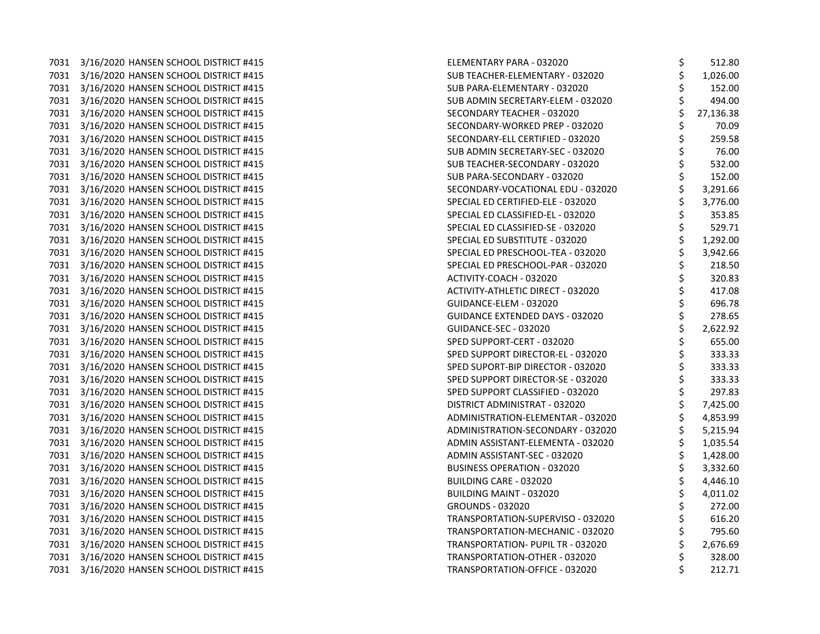7031 3/16/2020 HANSEN SCHOOL DISTRICT #415 7031 3/16/2020 HANSEN SCHOOL DISTRICT #415 7031 3/16/2020 HANSEN SCHOOL DISTRICT #415 7031 3/16/2020 HANSEN SCHOOL DISTRICT #415 7031 3/16/2020 HANSEN SCHOOL DISTRICT #415 7031 3/16/2020 HANSEN SCHOOL DISTRICT #415 7031 3/16/2020 HANSEN SCHOOL DISTRICT #415 7031 3/16/2020 HANSEN SCHOOL DISTRICT #415 7031 3/16/2020 HANSEN SCHOOL DISTRICT #415 7031 3/16/2020 HANSEN SCHOOL DISTRICT #415 7031 3/16/2020 HANSEN SCHOOL DISTRICT #415 7031 3/16/2020 HANSEN SCHOOL DISTRICT #415 7031 3/16/2020 HANSEN SCHOOL DISTRICT #415 7031 3/16/2020 HANSEN SCHOOL DISTRICT #415 7031 3/16/2020 HANSEN SCHOOL DISTRICT #415 7031 3/16/2020 HANSEN SCHOOL DISTRICT #415 7031 3/16/2020 HANSEN SCHOOL DISTRICT #415 7031 3/16/2020 HANSEN SCHOOL DISTRICT #415 7031 3/16/2020 HANSEN SCHOOL DISTRICT #415 7031 3/16/2020 HANSEN SCHOOL DISTRICT #415 7031 3/16/2020 HANSEN SCHOOL DISTRICT #415 7031 3/16/2020 HANSEN SCHOOL DISTRICT #415 7031 3/16/2020 HANSEN SCHOOL DISTRICT #415 7031 3/16/2020 HANSEN SCHOOL DISTRICT #415 7031 3/16/2020 HANSEN SCHOOL DISTRICT #415 7031 3/16/2020 HANSEN SCHOOL DISTRICT #415 7031 3/16/2020 HANSEN SCHOOL DISTRICT #415 7031 3/16/2020 HANSEN SCHOOL DISTRICT #415 7031 3/16/2020 HANSEN SCHOOL DISTRICT #415 7031 3/16/2020 HANSEN SCHOOL DISTRICT #415 7031 3/16/2020 HANSEN SCHOOL DISTRICT #415 7031 3/16/2020 HANSEN SCHOOL DISTRICT #415 7031 3/16/2020 HANSEN SCHOOL DISTRICT #415 7031 3/16/2020 HANSEN SCHOOL DISTRICT #415 7031 3/16/2020 HANSEN SCHOOL DISTRICT #415 7031 3/16/2020 HANSEN SCHOOL DISTRICT #415 7031 3/16/2020 HANSEN SCHOOL DISTRICT #415 7031 3/16/2020 HANSEN SCHOOL DISTRICT #415 7031 3/16/2020 HANSEN SCHOOL DISTRICT #415 7031 3/16/2020 HANSEN SCHOOL DISTRICT #415 7031 3/16/2020 HANSEN SCHOOL DISTRICT #415

| ELEMENTARY PARA - 032020               | \$                | 512.80    |
|----------------------------------------|-------------------|-----------|
| SUB TEACHER-ELEMENTARY - 032020        |                   | 1,026.00  |
| SUB PARA-ELEMENTARY - 032020           | ぐうさかい こうさく        | 152.00    |
| SUB ADMIN SECRETARY-ELEM - 032020      |                   | 494.00    |
| SECONDARY TEACHER - 032020             |                   | 27,136.38 |
| SECONDARY-WORKED PREP - 032020         |                   | 70.09     |
| SECONDARY-ELL CERTIFIED - 032020       |                   | 259.58    |
| SUB ADMIN SECRETARY-SEC - 032020       |                   | 76.00     |
| SUB TEACHER-SECONDARY - 032020         |                   | 532.00    |
| SUB PARA-SECONDARY - 032020            |                   | 152.00    |
| SECONDARY-VOCATIONAL EDU - 032020      |                   | 3,291.66  |
| SPECIAL ED CERTIFIED-ELE - 032020      |                   | 3,776.00  |
| SPECIAL ED CLASSIFIED-EL - 032020      | \$ \$ \$ \$       | 353.85    |
| SPECIAL ED CLASSIFIED-SE - 032020      |                   | 529.71    |
| SPECIAL ED SUBSTITUTE - 032020         |                   | 1,292.00  |
| SPECIAL ED PRESCHOOL-TEA - 032020      | \$<br>\$          | 3,942.66  |
| SPECIAL ED PRESCHOOL-PAR - 032020      |                   | 218.50    |
| ACTIVITY-COACH - 032020                |                   | 320.83    |
| ACTIVITY-ATHLETIC DIRECT - 032020      |                   | 417.08    |
| GUIDANCE-ELEM - 032020                 | \$ \$ \$ \$       | 696.78    |
| <b>GUIDANCE EXTENDED DAYS - 032020</b> |                   | 278.65    |
| GUIDANCE-SEC - 032020                  | ぐうそうそうかんそう かんそうかん | 2,622.92  |
| SPED SUPPORT-CERT - 032020             |                   | 655.00    |
| SPED SUPPORT DIRECTOR-EL - 032020      |                   | 333.33    |
| SPED SUPORT-BIP DIRECTOR - 032020      |                   | 333.33    |
| SPED SUPPORT DIRECTOR-SE - 032020      |                   | 333.33    |
| SPED SUPPORT CLASSIFIED - 032020       |                   | 297.83    |
| DISTRICT ADMINISTRAT - 032020          |                   | 7,425.00  |
| ADMINISTRATION-ELEMENTAR - 032020      |                   | 4,853.99  |
| ADMINISTRATION-SECONDARY - 032020      |                   | 5,215.94  |
| ADMIN ASSISTANT-ELEMENTA - 032020      |                   | 1,035.54  |
| ADMIN ASSISTANT-SEC - 032020           |                   | 1,428.00  |
| <b>BUSINESS OPERATION - 032020</b>     |                   | 3,332.60  |
| BUILDING CARE - 032020                 |                   | 4,446.10  |
| BUILDING MAINT - 032020                |                   | 4,011.02  |
| <b>GROUNDS - 032020</b>                |                   | 272.00    |
| TRANSPORTATION-SUPERVISO - 032020      |                   | 616.20    |
| TRANSPORTATION-MECHANIC - 032020       |                   | 795.60    |
| TRANSPORTATION- PUPIL TR - 032020      | \$<br>\$          | 2,676.69  |
| TRANSPORTATION-OTHER - 032020          |                   | 328.00    |
| TRANSPORTATION-OFFICE - 032020         | \$                | 212.71    |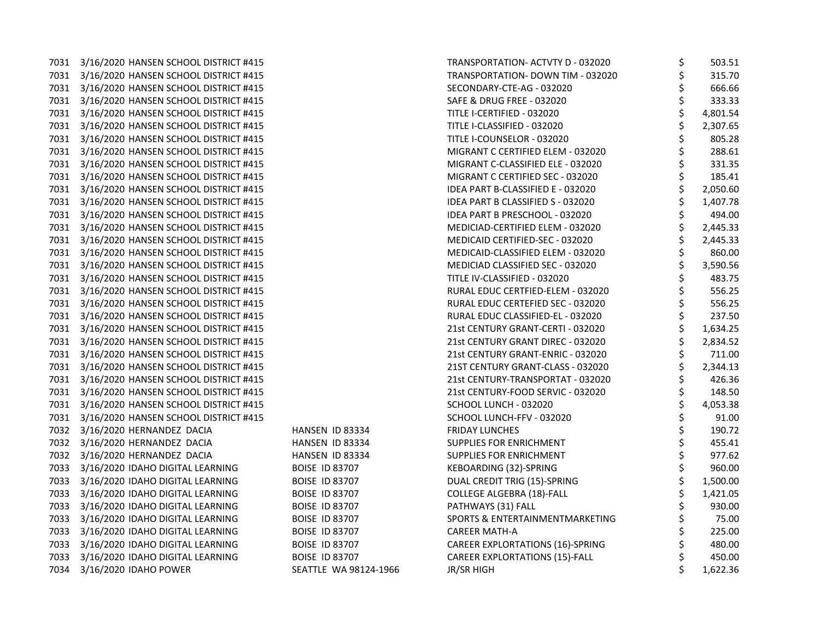| 7031 | 3/16/2020 HANSEN SCHOOL DISTRICT #415 |
|------|---------------------------------------|
| 7031 | 3/16/2020 HANSEN SCHOOL DISTRICT #415 |
| 7031 | 3/16/2020 HANSEN SCHOOL DISTRICT #415 |
| 7031 | 3/16/2020 HANSEN SCHOOL DISTRICT #415 |
| 7031 | 3/16/2020 HANSEN SCHOOL DISTRICT #415 |
| 7031 | 3/16/2020 HANSEN SCHOOL DISTRICT #415 |
| 7031 | 3/16/2020 HANSEN SCHOOL DISTRICT #415 |
| 7031 | 3/16/2020 HANSEN SCHOOL DISTRICT #415 |
| 7031 | 3/16/2020 HANSEN SCHOOL DISTRICT #415 |
| 7031 | 3/16/2020 HANSEN SCHOOL DISTRICT #415 |
| 7031 | 3/16/2020 HANSEN SCHOOL DISTRICT #415 |
| 7031 | 3/16/2020 HANSEN SCHOOL DISTRICT #415 |
| 7031 | 3/16/2020 HANSEN SCHOOL DISTRICT #415 |
| 7031 | 3/16/2020 HANSEN SCHOOL DISTRICT #415 |
| 7031 | 3/16/2020 HANSEN SCHOOL DISTRICT #415 |
| 7031 | 3/16/2020 HANSEN SCHOOL DISTRICT #415 |
| 7031 | 3/16/2020 HANSEN SCHOOL DISTRICT #415 |
| 7031 | 3/16/2020 HANSEN SCHOOL DISTRICT #415 |
| 7031 | 3/16/2020 HANSEN SCHOOL DISTRICT #415 |
| 7031 | 3/16/2020 HANSEN SCHOOL DISTRICT #415 |
| 7031 | 3/16/2020 HANSEN SCHOOL DISTRICT #415 |
| 7031 | 3/16/2020 HANSEN SCHOOL DISTRICT #415 |
| 7031 | 3/16/2020 HANSEN SCHOOL DISTRICT #415 |
| 7031 | 3/16/2020 HANSEN SCHOOL DISTRICT #415 |
| 7031 | 3/16/2020 HANSEN SCHOOL DISTRICT #415 |
| 7031 | 3/16/2020 HANSEN SCHOOL DISTRICT #415 |
| 7031 | 3/16/2020 HANSEN SCHOOL DISTRICT #415 |
| 7031 | 3/16/2020 HANSEN SCHOOL DISTRICT #415 |
| 7031 | 3/16/2020 HANSEN SCHOOL DISTRICT #415 |
| 7032 | 3/16/2020 HERNANDEZ DACIA             |
| 7032 | 3/16/2020 HERNANDEZ DACIA             |
| 7032 | 3/16/2020 HERNANDEZ DACIA             |
| 7033 | 3/16/2020 IDAHO DIGITAL LEARNING      |
| 7033 | 3/16/2020 IDAHO DIGITAL LEARNING      |
| 7033 | 3/16/2020 IDAHO DIGITAL LEARNING      |
| 7033 | 3/16/2020 IDAHO DIGITAL LEARNING      |
| 7033 | 3/16/2020 IDAHO DIGITAL LEARNING      |
| 7033 | 3/16/2020 IDAHO DIGITAL LEARNING      |
| 7033 | 3/16/2020 IDAHO DIGITAL LEARNING      |
| 7033 | 3/16/2020 IDAHO DIGITAL LEARNING      |
| 7034 | 3/16/2020 IDAHO POWER                 |

| IANSEN ID 83334        |
|------------------------|
| <b>IANSEN ID 83334</b> |
| IANSEN ID 83334        |
| OISE ID 83707          |
| OISE ID 83707          |
| OISE ID 83707          |
| OISE ID 83707          |
| OISE ID 83707          |
| OISE ID 83707          |
| OISE ID 83707          |
| OISE ID 83707          |
| EATTLE WA 98124-19     |

|      | 7031 3/16/2020 HANSEN SCHOOL DISTRICT #415 |                       | TRANSPORTATION- ACTVTY D - 032020       | \$<br>503.51   |
|------|--------------------------------------------|-----------------------|-----------------------------------------|----------------|
|      | 7031 3/16/2020 HANSEN SCHOOL DISTRICT #415 |                       | TRANSPORTATION- DOWN TIM - 032020       | \$<br>315.70   |
|      | 7031 3/16/2020 HANSEN SCHOOL DISTRICT #415 |                       | SECONDARY-CTE-AG - 032020               | \$<br>666.66   |
|      | 7031 3/16/2020 HANSEN SCHOOL DISTRICT #415 |                       | <b>SAFE &amp; DRUG FREE - 032020</b>    | \$<br>333.33   |
|      | 7031 3/16/2020 HANSEN SCHOOL DISTRICT #415 |                       | TITLE I-CERTIFIED - 032020              | \$<br>4,801.54 |
|      | 7031 3/16/2020 HANSEN SCHOOL DISTRICT #415 |                       | TITLE I-CLASSIFIED - 032020             | 2,307.65       |
|      | 7031 3/16/2020 HANSEN SCHOOL DISTRICT #415 |                       | TITLE I-COUNSELOR - 032020              | \$<br>805.28   |
|      | 7031 3/16/2020 HANSEN SCHOOL DISTRICT #415 |                       | MIGRANT C CERTIFIED ELEM - 032020       | \$<br>288.61   |
|      | 7031 3/16/2020 HANSEN SCHOOL DISTRICT #415 |                       | MIGRANT C-CLASSIFIED ELE - 032020       | \$<br>331.35   |
|      | 7031 3/16/2020 HANSEN SCHOOL DISTRICT #415 |                       | MIGRANT C CERTIFIED SEC - 032020        | \$<br>185.41   |
|      | 7031 3/16/2020 HANSEN SCHOOL DISTRICT #415 |                       | IDEA PART B-CLASSIFIED E - 032020       | \$<br>2,050.60 |
|      | 7031 3/16/2020 HANSEN SCHOOL DISTRICT #415 |                       | IDEA PART B CLASSIFIED S - 032020       | \$<br>1,407.78 |
|      | 7031 3/16/2020 HANSEN SCHOOL DISTRICT #415 |                       | IDEA PART B PRESCHOOL - 032020          | \$<br>494.00   |
|      | 7031 3/16/2020 HANSEN SCHOOL DISTRICT #415 |                       | MEDICIAD-CERTIFIED ELEM - 032020        | \$<br>2,445.33 |
|      | 7031 3/16/2020 HANSEN SCHOOL DISTRICT #415 |                       | MEDICAID CERTIFIED-SEC - 032020         | \$<br>2,445.33 |
|      | 7031 3/16/2020 HANSEN SCHOOL DISTRICT #415 |                       | MEDICAID-CLASSIFIED ELEM - 032020       | \$<br>860.00   |
|      | 7031 3/16/2020 HANSEN SCHOOL DISTRICT #415 |                       | MEDICIAD CLASSIFIED SEC - 032020        | \$<br>3,590.56 |
|      | 7031 3/16/2020 HANSEN SCHOOL DISTRICT #415 |                       | TITLE IV-CLASSIFIED - 032020            | \$<br>483.75   |
|      | 7031 3/16/2020 HANSEN SCHOOL DISTRICT #415 |                       | RURAL EDUC CERTFIED-ELEM - 032020       | \$<br>556.25   |
|      | 7031 3/16/2020 HANSEN SCHOOL DISTRICT #415 |                       | RURAL EDUC CERTEFIED SEC - 032020       | \$<br>556.25   |
|      | 7031 3/16/2020 HANSEN SCHOOL DISTRICT #415 |                       | RURAL EDUC CLASSIFIED-EL - 032020       | \$<br>237.50   |
|      | 7031 3/16/2020 HANSEN SCHOOL DISTRICT #415 |                       | 21st CENTURY GRANT-CERTI - 032020       | \$<br>1,634.25 |
|      | 7031 3/16/2020 HANSEN SCHOOL DISTRICT #415 |                       | 21st CENTURY GRANT DIREC - 032020       | \$<br>2,834.52 |
|      | 7031 3/16/2020 HANSEN SCHOOL DISTRICT #415 |                       | 21st CENTURY GRANT-ENRIC - 032020       | \$<br>711.00   |
|      | 7031 3/16/2020 HANSEN SCHOOL DISTRICT #415 |                       | 21ST CENTURY GRANT-CLASS - 032020       | \$<br>2,344.13 |
|      | 7031 3/16/2020 HANSEN SCHOOL DISTRICT #415 |                       | 21st CENTURY-TRANSPORTAT - 032020       | \$<br>426.36   |
|      | 7031 3/16/2020 HANSEN SCHOOL DISTRICT #415 |                       | 21st CENTURY-FOOD SERVIC - 032020       | \$<br>148.50   |
|      | 7031 3/16/2020 HANSEN SCHOOL DISTRICT #415 |                       | SCHOOL LUNCH - 032020                   | \$<br>4,053.38 |
|      | 7031 3/16/2020 HANSEN SCHOOL DISTRICT #415 |                       | SCHOOL LUNCH-FFV - 032020               | \$<br>91.00    |
|      | 7032 3/16/2020 HERNANDEZ DACIA             | HANSEN ID 83334       | <b>FRIDAY LUNCHES</b>                   | \$<br>190.72   |
|      | 7032 3/16/2020 HERNANDEZ DACIA             | HANSEN ID 83334       | SUPPLIES FOR ENRICHMENT                 | \$<br>455.41   |
|      | 7032 3/16/2020 HERNANDEZ DACIA             | HANSEN ID 83334       | SUPPLIES FOR ENRICHMENT                 | \$<br>977.62   |
| 7033 | 3/16/2020 IDAHO DIGITAL LEARNING           | <b>BOISE ID 83707</b> | KEBOARDING (32)-SPRING                  | \$<br>960.00   |
|      | 7033 3/16/2020 IDAHO DIGITAL LEARNING      | <b>BOISE ID 83707</b> | DUAL CREDIT TRIG (15)-SPRING            | \$<br>1,500.00 |
|      | 7033 3/16/2020 IDAHO DIGITAL LEARNING      | <b>BOISE ID 83707</b> | <b>COLLEGE ALGEBRA (18)-FALL</b>        | \$<br>1,421.05 |
|      | 7033 3/16/2020 IDAHO DIGITAL LEARNING      | <b>BOISE ID 83707</b> | PATHWAYS (31) FALL                      | 930.00         |
|      | 7033 3/16/2020 IDAHO DIGITAL LEARNING      | <b>BOISE ID 83707</b> | SPORTS & ENTERTAINMENTMARKETING         | \$<br>75.00    |
|      | 7033 3/16/2020 IDAHO DIGITAL LEARNING      | <b>BOISE ID 83707</b> | <b>CAREER MATH-A</b>                    | \$<br>225.00   |
|      | 7033 3/16/2020 IDAHO DIGITAL LEARNING      | <b>BOISE ID 83707</b> | <b>CAREER EXPLORTATIONS (16)-SPRING</b> | 480.00         |
|      | 7033 3/16/2020 IDAHO DIGITAL LEARNING      | <b>BOISE ID 83707</b> | <b>CAREER EXPLORTATIONS (15)-FALL</b>   | \$<br>450.00   |
|      | 7034 3/16/2020 IDAHO POWER                 | SEATTLE WA 98124-1966 | <b>JR/SR HIGH</b>                       | \$<br>1,622.36 |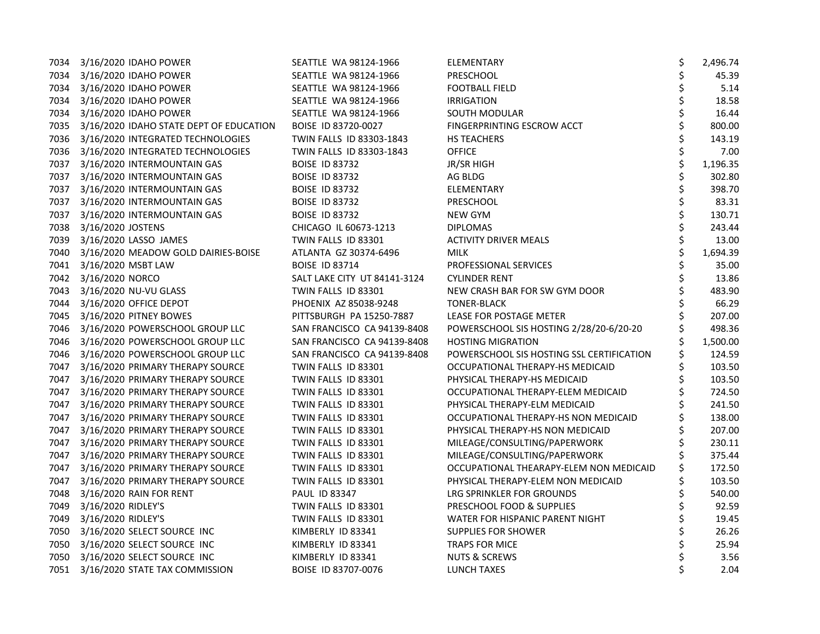|      | 7034 3/16/2020 IDAHO POWER                   | SEATTLE WA 98124-1966        | ELEMENTARY                                | \$<br>2,496.74 |
|------|----------------------------------------------|------------------------------|-------------------------------------------|----------------|
|      | 7034 3/16/2020 IDAHO POWER                   | SEATTLE WA 98124-1966        | PRESCHOOL                                 | \$<br>45.39    |
| 7034 | 3/16/2020 IDAHO POWER                        | SEATTLE WA 98124-1966        | <b>FOOTBALL FIELD</b>                     | \$<br>5.14     |
| 7034 | 3/16/2020 IDAHO POWER                        | SEATTLE WA 98124-1966        | <b>IRRIGATION</b>                         | 18.58          |
| 7034 | 3/16/2020 IDAHO POWER                        | SEATTLE WA 98124-1966        | SOUTH MODULAR                             | \$<br>16.44    |
|      | 7035 3/16/2020 IDAHO STATE DEPT OF EDUCATION | BOISE ID 83720-0027          | FINGERPRINTING ESCROW ACCT                | \$<br>800.00   |
|      | 7036 3/16/2020 INTEGRATED TECHNOLOGIES       | TWIN FALLS ID 83303-1843     | HS TEACHERS                               | 143.19         |
|      | 7036 3/16/2020 INTEGRATED TECHNOLOGIES       | TWIN FALLS ID 83303-1843     | <b>OFFICE</b>                             | 7.00           |
| 7037 | 3/16/2020 INTERMOUNTAIN GAS                  | <b>BOISE ID 83732</b>        | JR/SR HIGH                                | 1,196.35       |
| 7037 | 3/16/2020 INTERMOUNTAIN GAS                  | <b>BOISE ID 83732</b>        | AG BLDG                                   | \$<br>302.80   |
| 7037 | 3/16/2020 INTERMOUNTAIN GAS                  | <b>BOISE ID 83732</b>        | ELEMENTARY                                | \$<br>398.70   |
|      | 7037 3/16/2020 INTERMOUNTAIN GAS             | <b>BOISE ID 83732</b>        | PRESCHOOL                                 | \$<br>83.31    |
| 7037 | 3/16/2020 INTERMOUNTAIN GAS                  | <b>BOISE ID 83732</b>        | NEW GYM                                   | 130.71         |
| 7038 | 3/16/2020 JOSTENS                            | CHICAGO IL 60673-1213        | <b>DIPLOMAS</b>                           | 243.44         |
| 7039 | 3/16/2020 LASSO JAMES                        | TWIN FALLS ID 83301          | <b>ACTIVITY DRIVER MEALS</b>              | 13.00          |
| 7040 | 3/16/2020 MEADOW GOLD DAIRIES-BOISE          | ATLANTA GZ 30374-6496        | <b>MILK</b>                               | \$<br>1,694.39 |
| 7041 | 3/16/2020 MSBT LAW                           | <b>BOISE ID 83714</b>        | PROFESSIONAL SERVICES                     | \$<br>35.00    |
|      | 7042 3/16/2020 NORCO                         | SALT LAKE CITY UT 84141-3124 | <b>CYLINDER RENT</b>                      | \$<br>13.86    |
|      | 7043 3/16/2020 NU-VU GLASS                   | TWIN FALLS ID 83301          | NEW CRASH BAR FOR SW GYM DOOR             | 483.90         |
| 7044 | 3/16/2020 OFFICE DEPOT                       | PHOENIX AZ 85038-9248        | <b>TONER-BLACK</b>                        | 66.29          |
| 7045 | 3/16/2020 PITNEY BOWES                       | PITTSBURGH PA 15250-7887     | LEASE FOR POSTAGE METER                   | 207.00         |
| 7046 | 3/16/2020 POWERSCHOOL GROUP LLC              | SAN FRANCISCO CA 94139-8408  | POWERSCHOOL SIS HOSTING 2/28/20-6/20-20   | 498.36         |
| 7046 | 3/16/2020 POWERSCHOOL GROUP LLC              | SAN FRANCISCO CA 94139-8408  | <b>HOSTING MIGRATION</b>                  | 1,500.00       |
| 7046 | 3/16/2020 POWERSCHOOL GROUP LLC              | SAN FRANCISCO CA 94139-8408  | POWERSCHOOL SIS HOSTING SSL CERTIFICATION | 124.59         |
| 7047 | 3/16/2020 PRIMARY THERAPY SOURCE             | TWIN FALLS ID 83301          | OCCUPATIONAL THERAPY-HS MEDICAID          | 103.50         |
| 7047 | 3/16/2020 PRIMARY THERAPY SOURCE             | TWIN FALLS ID 83301          | PHYSICAL THERAPY-HS MEDICAID              | 103.50         |
| 7047 | 3/16/2020 PRIMARY THERAPY SOURCE             | TWIN FALLS ID 83301          | OCCUPATIONAL THERAPY-ELEM MEDICAID        | 724.50         |
| 7047 | 3/16/2020 PRIMARY THERAPY SOURCE             | TWIN FALLS ID 83301          | PHYSICAL THERAPY-ELM MEDICAID             | \$<br>241.50   |
| 7047 | 3/16/2020 PRIMARY THERAPY SOURCE             | TWIN FALLS ID 83301          | OCCUPATIONAL THERAPY-HS NON MEDICAID      | 138.00         |
| 7047 | 3/16/2020 PRIMARY THERAPY SOURCE             | TWIN FALLS ID 83301          | PHYSICAL THERAPY-HS NON MEDICAID          | 207.00         |
| 7047 | 3/16/2020 PRIMARY THERAPY SOURCE             | TWIN FALLS ID 83301          | MILEAGE/CONSULTING/PAPERWORK              | 230.11         |
| 7047 | 3/16/2020 PRIMARY THERAPY SOURCE             | TWIN FALLS ID 83301          | MILEAGE/CONSULTING/PAPERWORK              | 375.44         |
| 7047 | 3/16/2020 PRIMARY THERAPY SOURCE             | TWIN FALLS ID 83301          | OCCUPATIONAL THEARAPY-ELEM NON MEDICAID   | 172.50         |
| 7047 | 3/16/2020 PRIMARY THERAPY SOURCE             | TWIN FALLS ID 83301          | PHYSICAL THERAPY-ELEM NON MEDICAID        | \$<br>103.50   |
| 7048 | 3/16/2020 RAIN FOR RENT                      | PAUL ID 83347                | LRG SPRINKLER FOR GROUNDS                 | \$<br>540.00   |
| 7049 | 3/16/2020 RIDLEY'S                           | TWIN FALLS ID 83301          | PRESCHOOL FOOD & SUPPLIES                 | 92.59          |
| 7049 | 3/16/2020 RIDLEY'S                           | TWIN FALLS ID 83301          | WATER FOR HISPANIC PARENT NIGHT           | 19.45          |
| 7050 | 3/16/2020 SELECT SOURCE INC                  | KIMBERLY ID 83341            | <b>SUPPLIES FOR SHOWER</b>                | \$<br>26.26    |
| 7050 | 3/16/2020 SELECT SOURCE INC                  | KIMBERLY ID 83341            | <b>TRAPS FOR MICE</b>                     | 25.94          |
| 7050 | 3/16/2020 SELECT SOURCE INC                  | KIMBERLY ID 83341            | <b>NUTS &amp; SCREWS</b>                  | 3.56           |
| 7051 | 3/16/2020 STATE TAX COMMISSION               | BOISE ID 83707-0076          | LUNCH TAXES                               | \$<br>2.04     |